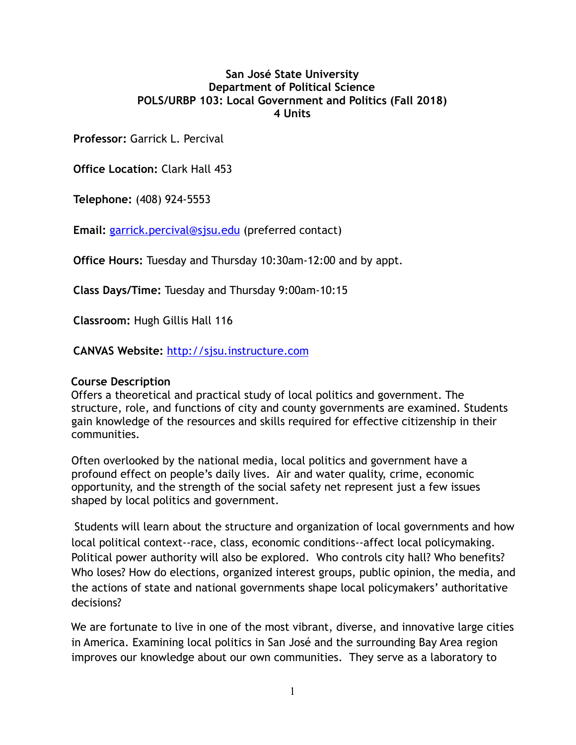## **San José State University Department of Political Science POLS/URBP 103: Local Government and Politics (Fall 2018) 4 Units**

**Professor:** Garrick L. Percival

**Office Location:** Clark Hall 453

**Telephone:** (408) 924-5553

**Email:** [garrick.percival@sjsu.edu](mailto:garrick.percival@sjsu.edu) (preferred contact)

**Office Hours:** Tuesday and Thursday 10:30am-12:00 and by appt.

**Class Days/Time:** Tuesday and Thursday 9:00am-10:15

**Classroom:** Hugh Gillis Hall 116

**CANVAS Website:** [http://sjsu.instructure.com](http://sjsu.instructure.com/)

## **Course Description**

Offers a theoretical and practical study of local politics and government. The structure, role, and functions of city and county governments are examined. Students gain knowledge of the resources and skills required for effective citizenship in their communities.

Often overlooked by the national media, local politics and government have a profound effect on people's daily lives. Air and water quality, crime, economic opportunity, and the strength of the social safety net represent just a few issues shaped by local politics and government.

 Students will learn about the structure and organization of local governments and how local political context--race, class, economic conditions--affect local policymaking. Political power authority will also be explored. Who controls city hall? Who benefits? Who loses? How do elections, organized interest groups, public opinion, the media, and the actions of state and national governments shape local policymakers' authoritative decisions?

 We are fortunate to live in one of the most vibrant, diverse, and innovative large cities in America. Examining local politics in San José and the surrounding Bay Area region improves our knowledge about our own communities. They serve as a laboratory to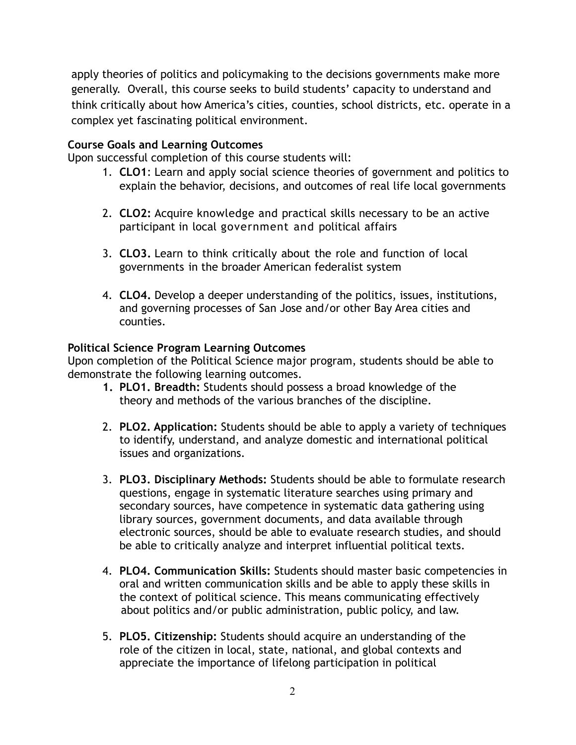apply theories of politics and policymaking to the decisions governments make more generally. Overall, this course seeks to build students' capacity to understand and think critically about how America's cities, counties, school districts, etc. operate in a complex yet fascinating political environment.

## **Course Goals and Learning Outcomes**

Upon successful completion of this course students will:

- 1. **CLO1**: Learn and apply social science theories of government and politics to explain the behavior, decisions, and outcomes of real life local governments
- 2. **CLO2:** Acquire knowledge and practical skills necessary to be an active participant in local government and political affairs
- 3. **CLO3.** Learn to think critically about the role and function of local governments in the broader American federalist system
- 4. **CLO4.** Develop a deeper understanding of the politics, issues, institutions, and governing processes of San Jose and/or other Bay Area cities and counties.

## **Political Science Program Learning Outcomes**

Upon completion of the Political Science major program, students should be able to demonstrate the following learning outcomes.

- **1. PLO1. Breadth:** Students should possess a broad knowledge of the theory and methods of the various branches of the discipline.
- 2. **PLO2. Application:** Students should be able to apply a variety of techniques to identify, understand, and analyze domestic and international political issues and organizations.
- 3. **PLO3. Disciplinary Methods:** Students should be able to formulate research questions, engage in systematic literature searches using primary and secondary sources, have competence in systematic data gathering using library sources, government documents, and data available through electronic sources, should be able to evaluate research studies, and should be able to critically analyze and interpret influential political texts.
- 4. **PLO4. Communication Skills:** Students should master basic competencies in oral and written communication skills and be able to apply these skills in the context of political science. This means communicating effectively about politics and/or public administration, public policy, and law.
- 5. **PLO5. Citizenship:** Students should acquire an understanding of the role of the citizen in local, state, national, and global contexts and appreciate the importance of lifelong participation in political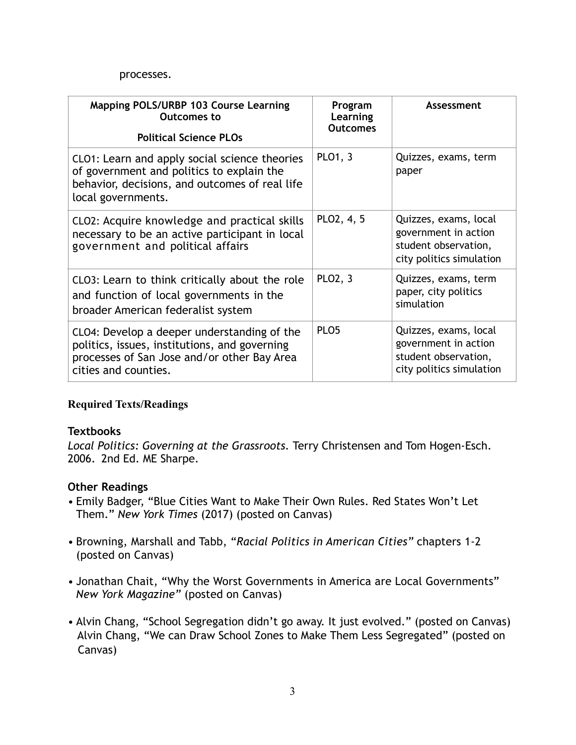#### processes.

| Mapping POLS/URBP 103 Course Learning<br><b>Outcomes to</b><br><b>Political Science PLOs</b>                                                                        | Program<br>Learning<br><b>Outcomes</b> | Assessment                                                                                        |
|---------------------------------------------------------------------------------------------------------------------------------------------------------------------|----------------------------------------|---------------------------------------------------------------------------------------------------|
| CLO1: Learn and apply social science theories<br>of government and politics to explain the<br>behavior, decisions, and outcomes of real life<br>local governments.  | <b>PLO1, 3</b>                         | Quizzes, exams, term<br>paper                                                                     |
| CLO2: Acquire knowledge and practical skills<br>necessary to be an active participant in local<br>government and political affairs                                  | PLO2, 4, 5                             | Quizzes, exams, local<br>government in action<br>student observation,<br>city politics simulation |
| CLO3: Learn to think critically about the role<br>and function of local governments in the<br>broader American federalist system                                    | PLO2, 3                                | Quizzes, exams, term<br>paper, city politics<br>simulation                                        |
| CLO4: Develop a deeper understanding of the<br>politics, issues, institutions, and governing<br>processes of San Jose and/or other Bay Area<br>cities and counties. | PLO <sub>5</sub>                       | Quizzes, exams, local<br>government in action<br>student observation,<br>city politics simulation |

## **Required Texts/Readings**

## **Textbooks**

*Local Politics: Governing at the Grassroots.* Terry Christensen and Tom Hogen-Esch. 2006. 2nd Ed. ME Sharpe.

## **Other Readings**

- Emily Badger, "Blue Cities Want to Make Their Own Rules. Red States Won't Let Them." *New York Times* (2017) (posted on Canvas)
- Browning, Marshall and Tabb, "*Racial Politics in American Cities"* chapters 1-2 (posted on Canvas)
- Jonathan Chait, "Why the Worst Governments in America are Local Governments" *New York Magazine"* (posted on Canvas)
- Alvin Chang, "School Segregation didn't go away. It just evolved." (posted on Canvas) Alvin Chang, "We can Draw School Zones to Make Them Less Segregated" (posted on Canvas)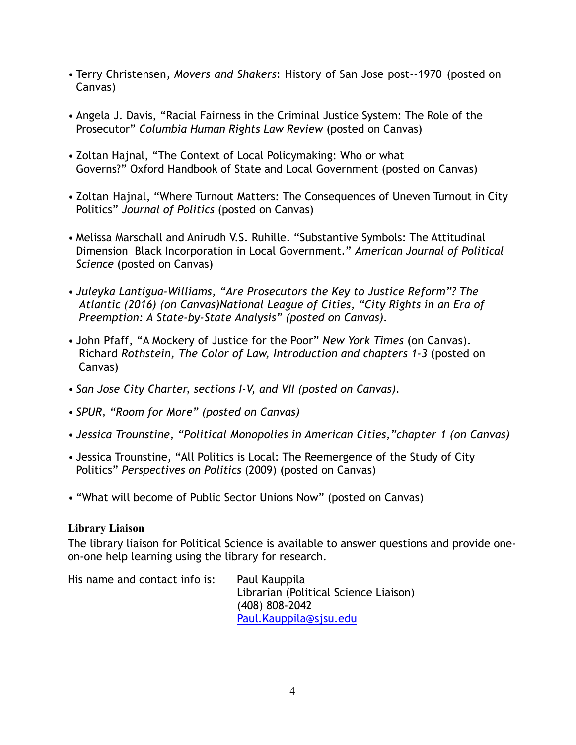- Terry Christensen, *Movers and Shakers*: History of San Jose post--1970 (posted on Canvas)
- Angela J. Davis, "Racial Fairness in the Criminal Justice System: The Role of the Prosecutor" *Columbia Human Rights Law Review* (posted on Canvas)
- Zoltan Hajnal, "The Context of Local Policymaking: Who or what Governs?" Oxford Handbook of State and Local Government (posted on Canvas)
- Zoltan Hajnal, "Where Turnout Matters: The Consequences of Uneven Turnout in City Politics" *Journal of Politics* (posted on Canvas)
- Melissa Marschall and Anirudh V.S. Ruhille. "Substantive Symbols: The Attitudinal Dimension Black Incorporation in Local Government." *American Journal of Political Science* (posted on Canvas)
- *• Juleyka Lantigua-Williams, "Are Prosecutors the Key to Justice Reform"? The Atlantic (2016) (on Canvas)National League of Cities, "City Rights in an Era of Preemption: A State-by-State Analysis" (posted on Canvas).*
- *•* John Pfaff, "A Mockery of Justice for the Poor" *New York Times* (on Canvas). Richard *Rothstein, The Color of Law, Introduction and chapters 1-3* (posted on Canvas)
- *• San Jose City Charter, sections I-V, and VII (posted on Canvas).*
- *• SPUR, "Room for More" (posted on Canvas)*
- *• Jessica Trounstine, "Political Monopolies in American Cities,"chapter 1 (on Canvas)*
- Jessica Trounstine, "All Politics is Local: The Reemergence of the Study of City Politics" *Perspectives on Politics* (2009) (posted on Canvas)
- "What will become of Public Sector Unions Now" (posted on Canvas)

## **Library Liaison**

The library liaison for Political Science is available to answer questions and provide oneon-one help learning using the library for research.

His name and contact info is: Paul Kauppila Librarian (Political Science Liaison) (408) 808-2042 [Paul.Kauppila@sjsu.edu](mailto:Paul.Kauppila@sjsu.edu)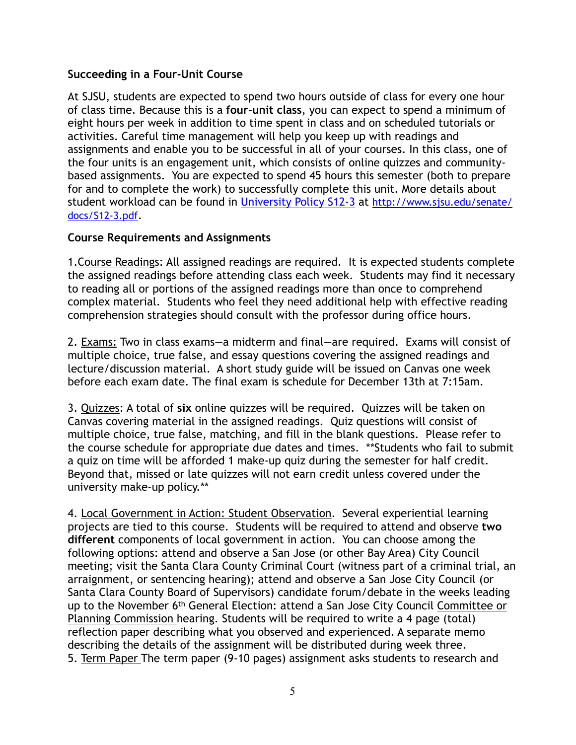## **Succeeding in a Four-Unit Course**

At SJSU, students are expected to spend two hours outside of class for every one hour of class time. Because this is a **four-unit class**, you can expect to spend a minimum of eight hours per week in addition to time spent in class and on scheduled tutorials or activities. Careful time management will help you keep up with readings and assignments and enable you to be successful in all of your courses. In this class, one of the four units is an engagement unit, which consists of online quizzes and communitybased assignments. You are expected to spend 45 hours this semester (both to prepare for and to complete the work) to successfully complete this unit. More details about student workload can be found in [University Policy S12-3](http://www.sjsu.edu/senate/docs/S12-3.pdf) at [http://www.sjsu.edu/senate/](http://www.sjsu.edu/senate/docs/S12-3.pdf) [docs/S12-3.pdf.](http://www.sjsu.edu/senate/docs/S12-3.pdf)

### **Course Requirements and Assignments**

1.Course Readings: All assigned readings are required. It is expected students complete the assigned readings before attending class each week. Students may find it necessary to reading all or portions of the assigned readings more than once to comprehend complex material. Students who feel they need additional help with effective reading comprehension strategies should consult with the professor during office hours.

2. Exams: Two in class exams—a midterm and final—are required. Exams will consist of multiple choice, true false, and essay questions covering the assigned readings and lecture/discussion material. A short study guide will be issued on Canvas one week before each exam date. The final exam is schedule for December 13th at 7:15am.

3. Quizzes: A total of **six** online quizzes will be required. Quizzes will be taken on Canvas covering material in the assigned readings. Quiz questions will consist of multiple choice, true false, matching, and fill in the blank questions. Please refer to the course schedule for appropriate due dates and times. \*\*Students who fail to submit a quiz on time will be afforded 1 make-up quiz during the semester for half credit. Beyond that, missed or late quizzes will not earn credit unless covered under the university make-up policy.\*\*

4. Local Government in Action: Student Observation. Several experiential learning projects are tied to this course. Students will be required to attend and observe **two different** components of local government in action. You can choose among the following options: attend and observe a San Jose (or other Bay Area) City Council meeting; visit the Santa Clara County Criminal Court (witness part of a criminal trial, an arraignment, or sentencing hearing); attend and observe a San Jose City Council (or Santa Clara County Board of Supervisors) candidate forum/debate in the weeks leading up to the November 6<sup>th</sup> General Election: attend a San Jose City Council Committee or Planning Commission hearing. Students will be required to write a 4 page (total) reflection paper describing what you observed and experienced. A separate memo describing the details of the assignment will be distributed during week three. 5. Term Paper The term paper (9-10 pages) assignment asks students to research and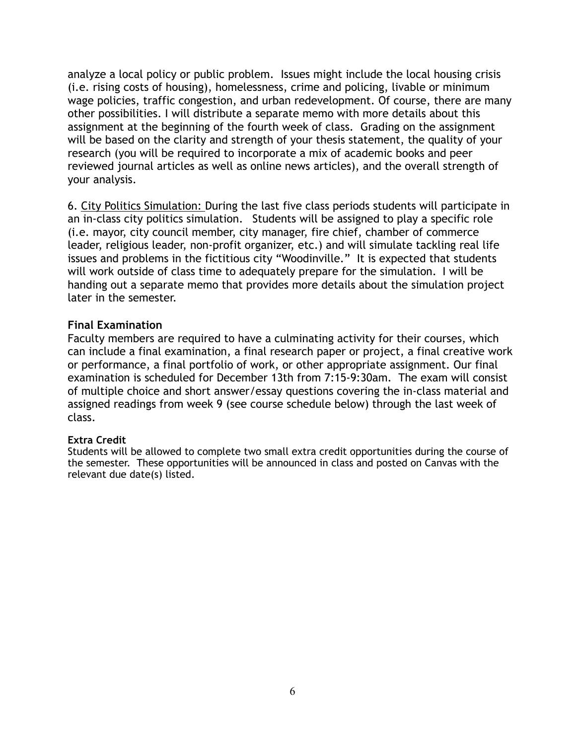analyze a local policy or public problem. Issues might include the local housing crisis (i.e. rising costs of housing), homelessness, crime and policing, livable or minimum wage policies, traffic congestion, and urban redevelopment. Of course, there are many other possibilities. I will distribute a separate memo with more details about this assignment at the beginning of the fourth week of class. Grading on the assignment will be based on the clarity and strength of your thesis statement, the quality of your research (you will be required to incorporate a mix of academic books and peer reviewed journal articles as well as online news articles), and the overall strength of your analysis.

6. City Politics Simulation: During the last five class periods students will participate in an in-class city politics simulation. Students will be assigned to play a specific role (i.e. mayor, city council member, city manager, fire chief, chamber of commerce leader, religious leader, non-profit organizer, etc.) and will simulate tackling real life issues and problems in the fictitious city "Woodinville." It is expected that students will work outside of class time to adequately prepare for the simulation. I will be handing out a separate memo that provides more details about the simulation project later in the semester.

## **Final Examination**

Faculty members are required to have a culminating activity for their courses, which can include a final examination, a final research paper or project, a final creative work or performance, a final portfolio of work, or other appropriate assignment. Our final examination is scheduled for December 13th from 7:15-9:30am. The exam will consist of multiple choice and short answer/essay questions covering the in-class material and assigned readings from week 9 (see course schedule below) through the last week of class.

#### **Extra Credit**

Students will be allowed to complete two small extra credit opportunities during the course of the semester. These opportunities will be announced in class and posted on Canvas with the relevant due date(s) listed.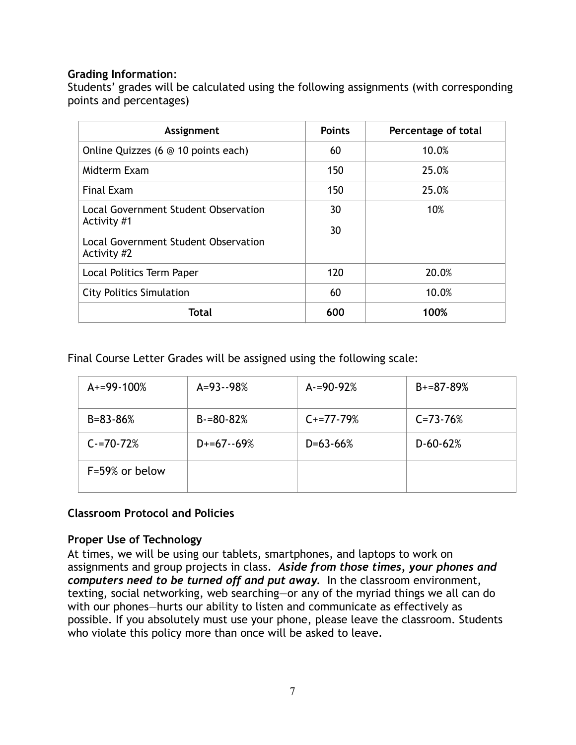## **Grading Information**:

Students' grades will be calculated using the following assignments (with corresponding points and percentages)

| Assignment                                                                                  | <b>Points</b> | Percentage of total |
|---------------------------------------------------------------------------------------------|---------------|---------------------|
| Online Quizzes (6 @ 10 points each)                                                         | 60            | 10.0%               |
| Midterm Exam                                                                                | 150           | 25.0%               |
| <b>Final Exam</b>                                                                           | 150           | 25.0%               |
| Local Government Student Observation<br>Activity #1<br>Local Government Student Observation | 30<br>30      | 10%                 |
| Activity #2                                                                                 |               |                     |
| Local Politics Term Paper                                                                   | 120           | 20.0%               |
| <b>City Politics Simulation</b>                                                             | 60            | 10.0%               |
| <b>Total</b>                                                                                | 600           | 100%                |

Final Course Letter Grades will be assigned using the following scale:

| $A+=99-100%$   | $A = 93 - 98%$ | $A = 90 - 92%$ | $B+=87-89%$    |
|----------------|----------------|----------------|----------------|
| $B = 83 - 86%$ | $B = 80 - 82%$ | $C_{+}=77-79%$ | $C = 73 - 76%$ |
| $C = 70 - 72%$ | $D+=67-69%$    | $D = 63 - 66%$ | $D - 60 - 62%$ |
| F=59% or below |                |                |                |

# **Classroom Protocol and Policies**

# **Proper Use of Technology**

At times, we will be using our tablets, smartphones, and laptops to work on assignments and group projects in class. *Aside from those times, your phones and computers need to be turned off and put away.* In the classroom environment, texting, social networking, web searching—or any of the myriad things we all can do with our phones—hurts our ability to listen and communicate as effectively as possible. If you absolutely must use your phone, please leave the classroom. Students who violate this policy more than once will be asked to leave.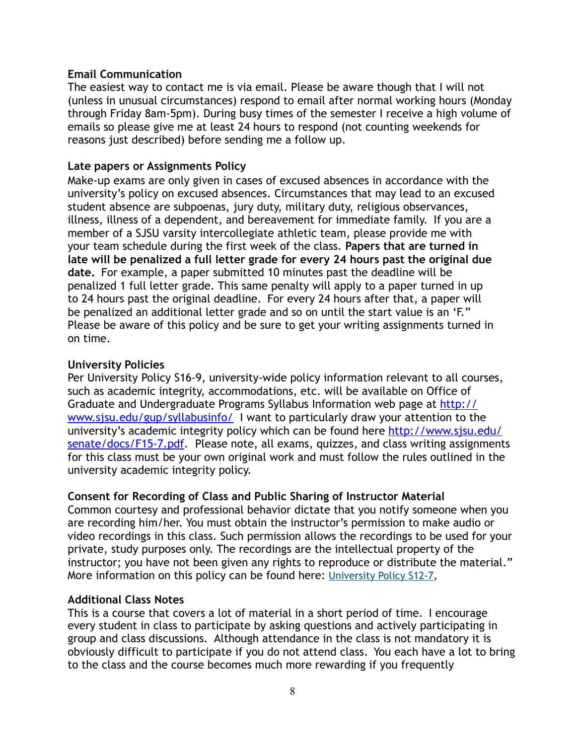### **Email Communication**

The easiest way to contact me is via email. Please be aware though that I will not (unless in unusual circumstances) respond to email after normal working hours (Monday through Friday 8am-5pm). During busy times of the semester I receive a high volume of emails so please give me at least 24 hours to respond (not counting weekends for reasons just described) before sending me a follow up.

### **Late papers or Assignments Policy**

Make-up exams are only given in cases of excused absences in accordance with the university's policy on excused absences. Circumstances that may lead to an excused student absence are subpoenas, jury duty, military duty, religious observances, illness, illness of a dependent, and bereavement for immediate family. If you are a member of a SJSU varsity intercollegiate athletic team, please provide me with your team schedule during the first week of the class. **Papers that are turned in late will be penalized a full letter grade for every 24 hours past the original due date.** For example, a paper submitted 10 minutes past the deadline will be penalized 1 full letter grade. This same penalty will apply to a paper turned in up to 24 hours past the original deadline. For every 24 hours after that, a paper will be penalized an additional letter grade and so on until the start value is an 'F." Please be aware of this policy and be sure to get your writing assignments turned in on time.

### **University Policies**

Per University Policy S16-9, university-wide policy information relevant to all courses, such as academic integrity, accommodations, etc. will be available on Office of Graduate and Undergraduate Programs Syllabus Information web page at [http://](http://www.sjsu.edu/gup/syllabusinfo/) [www.sjsu.edu/gup/syllabusinfo/](http://www.sjsu.edu/gup/syllabusinfo/) I want to particularly draw your attention to the university's academic integrity policy which can be found here [http://www.sjsu.edu/](http://www.sjsu.edu/senate/docs/F15-7.pdf) [senate/docs/F15-7.pdf.](http://www.sjsu.edu/senate/docs/F15-7.pdf) Please note, all exams, quizzes, and class writing assignments for this class must be your own original work and must follow the rules outlined in the university academic integrity policy.

## **Consent for Recording of Class and Public Sharing of Instructor Material**

Common courtesy and professional behavior dictate that you notify someone when you are recording him/her. You must obtain the instructor's permission to make audio or video recordings in this class. Such permission allows the recordings to be used for your private, study purposes only. The recordings are the intellectual property of the instructor; you have not been given any rights to reproduce or distribute the material." More information on this policy can be found here: [University Policy S12-7,](http://www.sjsu.edu/senate/docs/S12-7.pdf)

#### **Additional Class Notes**

This is a course that covers a lot of material in a short period of time. I encourage every student in class to participate by asking questions and actively participating in group and class discussions. Although attendance in the class is not mandatory it is obviously difficult to participate if you do not attend class. You each have a lot to bring to the class and the course becomes much more rewarding if you frequently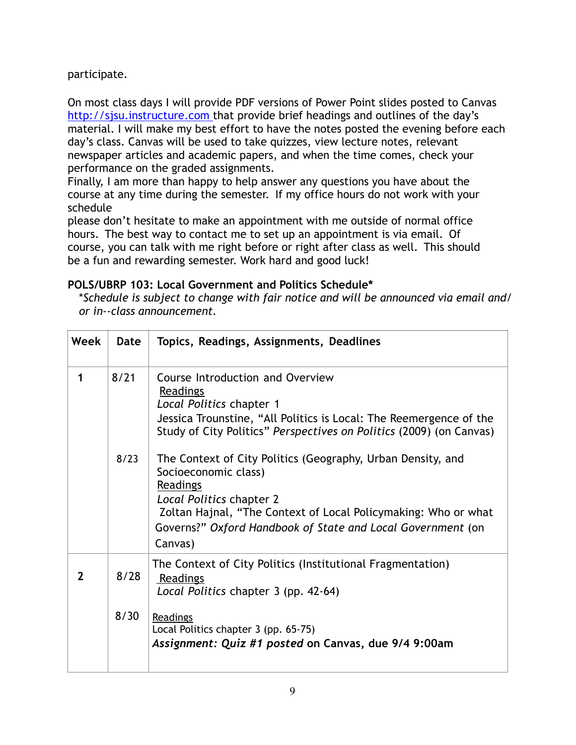participate.

On most class days I will provide PDF versions of Power Point slides posted to Canvas http://sisu.instructure.com that provide brief headings and outlines of the day's material. I will make my best effort to have the notes posted the evening before each day's class. Canvas will be used to take quizzes, view lecture notes, relevant newspaper articles and academic papers, and when the time comes, check your performance on the graded assignments.

Finally, I am more than happy to help answer any questions you have about the course at any time during the semester. If my office hours do not work with your schedule

please don't hesitate to make an appointment with me outside of normal office hours. The best way to contact me to set up an appointment is via email. Of course, you can talk with me right before or right after class as well. This should be a fun and rewarding semester. Work hard and good luck!

# **POLS/UBRP 103: Local Government and Politics Schedule\***

\**Schedule is subject to change with fair notice and will be announced via email and/ or in--class announcement.*

| Week | Date         | Topics, Readings, Assignments, Deadlines                                                                                                                                                                                                                                                                                                                                                                                                                                                         |
|------|--------------|--------------------------------------------------------------------------------------------------------------------------------------------------------------------------------------------------------------------------------------------------------------------------------------------------------------------------------------------------------------------------------------------------------------------------------------------------------------------------------------------------|
| 1    | 8/21<br>8/23 | Course Introduction and Overview<br>Readings<br>Local Politics chapter 1<br>Jessica Trounstine, "All Politics is Local: The Reemergence of the<br>Study of City Politics" Perspectives on Politics (2009) (on Canvas)<br>The Context of City Politics (Geography, Urban Density, and<br>Socioeconomic class)<br>Readings<br>Local Politics chapter 2<br>Zoltan Hajnal, "The Context of Local Policymaking: Who or what<br>Governs?" Oxford Handbook of State and Local Government (on<br>Canvas) |
| 2    | 8/28<br>8/30 | The Context of City Politics (Institutional Fragmentation)<br>Readings<br>Local Politics chapter 3 (pp. 42-64)<br>Readings<br>Local Politics chapter 3 (pp. 65-75)<br>Assignment: Quiz #1 posted on Canvas, due 9/4 9:00am                                                                                                                                                                                                                                                                       |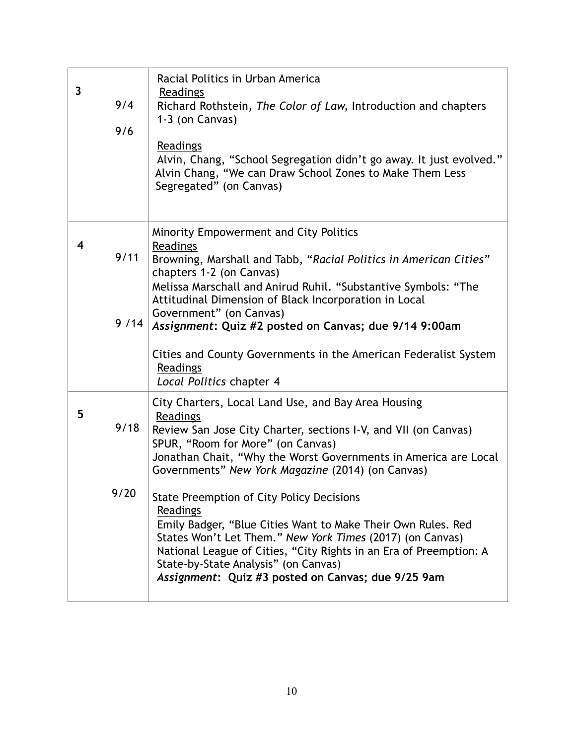| $\overline{\mathbf{3}}$ | 9/4<br>9/6   | Racial Politics in Urban America<br>Readings<br>Richard Rothstein, The Color of Law, Introduction and chapters<br>1-3 (on Canvas)<br>Readings<br>Alvin, Chang, "School Segregation didn't go away. It just evolved."<br>Alvin Chang, "We can Draw School Zones to Make Them Less<br>Segregated" (on Canvas)                                                                                                                                                                                                                                                                                                                                                      |
|-------------------------|--------------|------------------------------------------------------------------------------------------------------------------------------------------------------------------------------------------------------------------------------------------------------------------------------------------------------------------------------------------------------------------------------------------------------------------------------------------------------------------------------------------------------------------------------------------------------------------------------------------------------------------------------------------------------------------|
| 4                       | 9/11<br>9/14 | Minority Empowerment and City Politics<br>Readings<br>Browning, Marshall and Tabb, "Racial Politics in American Cities"<br>chapters 1-2 (on Canvas)<br>Melissa Marschall and Anirud Ruhil. "Substantive Symbols: "The<br>Attitudinal Dimension of Black Incorporation in Local<br>Government" (on Canvas)<br>Assignment: Quiz #2 posted on Canvas; due 9/14 9:00am<br>Cities and County Governments in the American Federalist System<br>Readings<br>Local Politics chapter 4                                                                                                                                                                                    |
| 5                       | 9/18<br>9/20 | City Charters, Local Land Use, and Bay Area Housing<br>Readings<br>Review San Jose City Charter, sections I-V, and VII (on Canvas)<br>SPUR, "Room for More" (on Canvas)<br>Jonathan Chait, "Why the Worst Governments in America are Local<br>Governments" New York Magazine (2014) (on Canvas)<br><b>State Preemption of City Policy Decisions</b><br>Readings<br>Emily Badger, "Blue Cities Want to Make Their Own Rules. Red<br>States Won't Let Them." New York Times (2017) (on Canvas)<br>National League of Cities, "City Rights in an Era of Preemption: A<br>State-by-State Analysis" (on Canvas)<br>Assignment: Quiz #3 posted on Canvas; due 9/25 9am |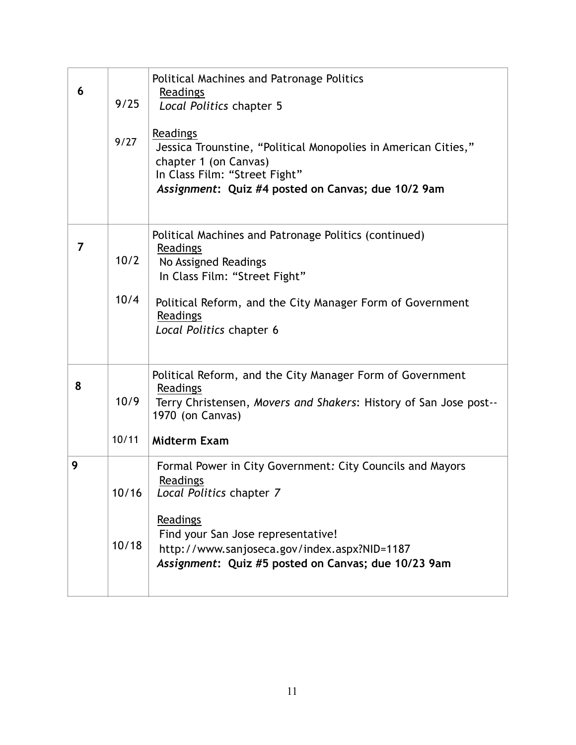| 6 | 9/25<br>9/27   | Political Machines and Patronage Politics<br>Readings<br>Local Politics chapter 5<br>Readings<br>Jessica Trounstine, "Political Monopolies in American Cities,"<br>chapter 1 (on Canvas)<br>In Class Film: "Street Fight"<br>Assignment: Quiz #4 posted on Canvas; due 10/2 9am |
|---|----------------|---------------------------------------------------------------------------------------------------------------------------------------------------------------------------------------------------------------------------------------------------------------------------------|
| 7 | 10/2<br>10/4   | Political Machines and Patronage Politics (continued)<br>Readings<br>No Assigned Readings<br>In Class Film: "Street Fight"<br>Political Reform, and the City Manager Form of Government<br>Readings<br>Local Politics chapter 6                                                 |
| 8 | 10/9<br>10/11  | Political Reform, and the City Manager Form of Government<br>Readings<br>Terry Christensen, Movers and Shakers: History of San Jose post--<br>1970 (on Canvas)<br><b>Midterm Exam</b>                                                                                           |
| 9 | 10/16<br>10/18 | Formal Power in City Government: City Councils and Mayors<br>Readings<br>Local Politics chapter 7<br>Readings<br>Find your San Jose representative!<br>http://www.sanjoseca.gov/index.aspx?NID=1187<br>Assignment: Quiz #5 posted on Canvas; due 10/23 9am                      |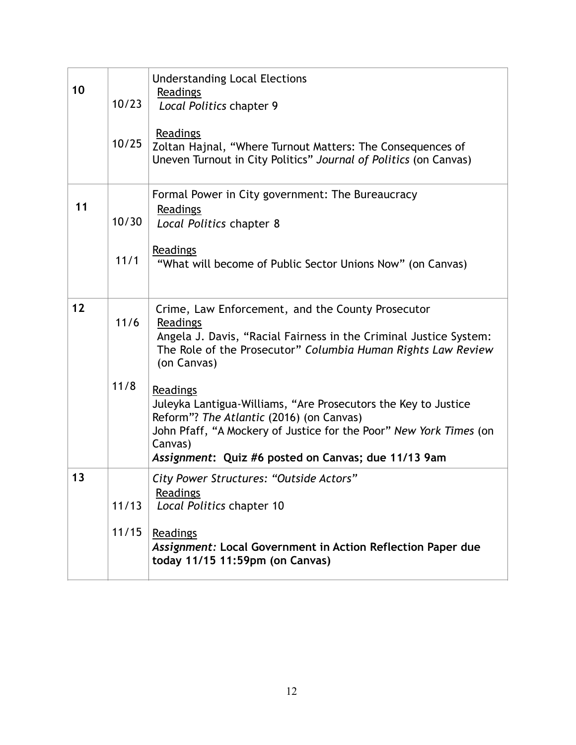| 10 | 10/23<br>10/25 | <b>Understanding Local Elections</b><br>Readings<br>Local Politics chapter 9<br>Readings<br>Zoltan Hajnal, "Where Turnout Matters: The Consequences of<br>Uneven Turnout in City Politics" Journal of Politics (on Canvas)                                                                                                                                                                                                                                                          |
|----|----------------|-------------------------------------------------------------------------------------------------------------------------------------------------------------------------------------------------------------------------------------------------------------------------------------------------------------------------------------------------------------------------------------------------------------------------------------------------------------------------------------|
| 11 | 10/30<br>11/1  | Formal Power in City government: The Bureaucracy<br>Readings<br>Local Politics chapter 8<br>Readings<br>"What will become of Public Sector Unions Now" (on Canvas)                                                                                                                                                                                                                                                                                                                  |
| 12 | $11/6$<br>11/8 | Crime, Law Enforcement, and the County Prosecutor<br>Readings<br>Angela J. Davis, "Racial Fairness in the Criminal Justice System:<br>The Role of the Prosecutor" Columbia Human Rights Law Review<br>(on Canvas)<br>Readings<br>Juleyka Lantigua-Williams, "Are Prosecutors the Key to Justice<br>Reform"? The Atlantic (2016) (on Canvas)<br>John Pfaff, "A Mockery of Justice for the Poor" New York Times (on<br>Canvas)<br>Assignment: Quiz #6 posted on Canvas; due 11/13 9am |
| 13 | 11/13<br>11/15 | City Power Structures: "Outside Actors"<br><b>Readings</b><br>Local Politics chapter 10<br>Readings<br>Assignment: Local Government in Action Reflection Paper due<br>today 11/15 11:59pm (on Canvas)                                                                                                                                                                                                                                                                               |